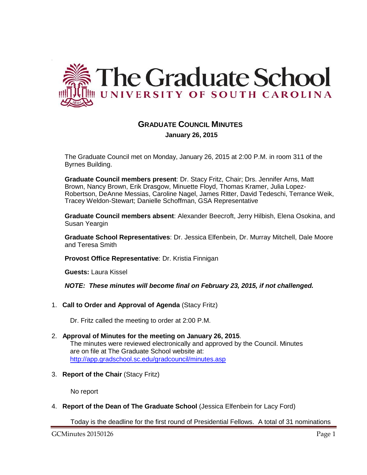

# **GRADUATE COUNCIL MINUTES January 26, 2015**

The Graduate Council met on Monday, January 26, 2015 at 2:00 P.M. in room 311 of the Byrnes Building.

**Graduate Council members present**: Dr. Stacy Fritz, Chair; Drs. Jennifer Arns, Matt Brown, Nancy Brown, Erik Drasgow, Minuette Floyd, Thomas Kramer, Julia Lopez-Robertson, DeAnne Messias, Caroline Nagel, James Ritter, David Tedeschi, Terrance Weik, Tracey Weldon-Stewart; Danielle Schoffman, GSA Representative

**Graduate Council members absent**: Alexander Beecroft, Jerry Hilbish, Elena Osokina, and Susan Yeargin

**Graduate School Representatives**: Dr. Jessica Elfenbein, Dr. Murray Mitchell, Dale Moore and Teresa Smith

**Provost Office Representative**: Dr. Kristia Finnigan

**Guests:** Laura Kissel

*NOTE: These minutes will become final on February 23, 2015, if not challenged.*

1. **Call to Order and Approval of Agenda** (Stacy Fritz)

Dr. Fritz called the meeting to order at 2:00 P.M.

- 2. **Approval of Minutes for the meeting on January 26, 2015**. The minutes were reviewed electronically and approved by the Council. Minutes are on file at The Graduate School website at: <http://app.gradschool.sc.edu/gradcouncil/minutes.asp>
- 3. **Report of the Chair** (Stacy Fritz)

No report

4. **Report of the Dean of The Graduate School** (Jessica Elfenbein for Lacy Ford)

Today is the deadline for the first round of Presidential Fellows. A total of 31 nominations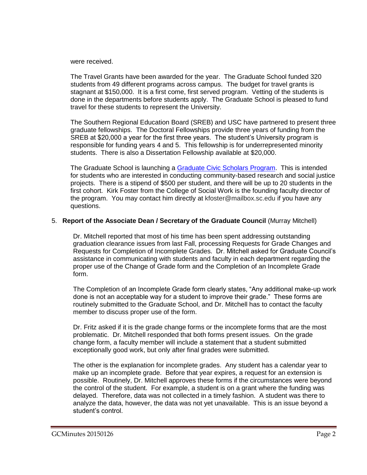were received.

The Travel Grants have been awarded for the year. The Graduate School funded 320 students from 49 different programs across campus. The budget for travel grants is stagnant at \$150,000. It is a first come, first served program. Vetting of the students is done in the departments before students apply. The Graduate School is pleased to fund travel for these students to represent the University.

The Southern Regional Education Board (SREB) and USC have partnered to present three graduate fellowships. The Doctoral Fellowships provide three years of funding from the SREB at \$20,000 a year for the first three years. The student's University program is responsible for funding years 4 and 5. This fellowship is for underrepresented minority students. There is also a Dissertation Fellowship available at \$20,000.

The Graduate School is launching a [Graduate Civic Scholars Program.](http://gradschool.sc.edu/facstaff/gradcouncil/2014/Civic%20Scholar%20flyer%20for%201-26-15.pdf) This is intended for students who are interested in conducting community-based research and social justice projects. There is a stipend of \$500 per student, and there will be up to 20 students in the first cohort. Kirk Foster from the College of Social Work is the founding faculty director of the program. You may contact him directly at kfoster@mailbox.sc.edu if you have any questions.

# 5. **Report of the Associate Dean / Secretary of the Graduate Council** (Murray Mitchell)

Dr. Mitchell reported that most of his time has been spent addressing outstanding graduation clearance issues from last Fall, processing Requests for Grade Changes and Requests for Completion of Incomplete Grades. Dr. Mitchell asked for Graduate Council's assistance in communicating with students and faculty in each department regarding the proper use of the Change of Grade form and the Completion of an Incomplete Grade form.

The Completion of an Incomplete Grade form clearly states, "Any additional make-up work done is not an acceptable way for a student to improve their grade." These forms are routinely submitted to the Graduate School, and Dr. Mitchell has to contact the faculty member to discuss proper use of the form.

Dr. Fritz asked if it is the grade change forms or the incomplete forms that are the most problematic. Dr. Mitchell responded that both forms present issues. On the grade change form, a faculty member will include a statement that a student submitted exceptionally good work, but only after final grades were submitted.

The other is the explanation for incomplete grades. Any student has a calendar year to make up an incomplete grade. Before that year expires, a request for an extension is possible. Routinely, Dr. Mitchell approves these forms if the circumstances were beyond the control of the student. For example, a student is on a grant where the funding was delayed. Therefore, data was not collected in a timely fashion. A student was there to analyze the data, however, the data was not yet unavailable. This is an issue beyond a student's control.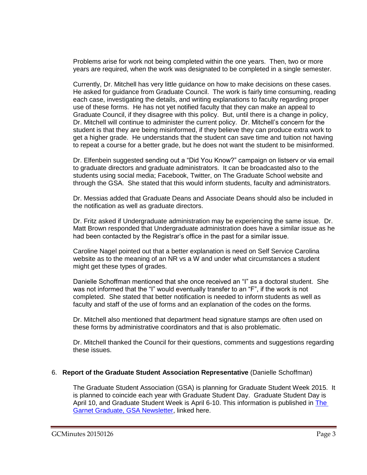Problems arise for work not being completed within the one years. Then, two or more years are required, when the work was designated to be completed in a single semester.

Currently, Dr. Mitchell has very little guidance on how to make decisions on these cases. He asked for guidance from Graduate Council. The work is fairly time consuming, reading each case, investigating the details, and writing explanations to faculty regarding proper use of these forms. He has not yet notified faculty that they can make an appeal to Graduate Council, if they disagree with this policy. But, until there is a change in policy, Dr. Mitchell will continue to administer the current policy. Dr. Mitchell's concern for the student is that they are being misinformed, if they believe they can produce extra work to get a higher grade. He understands that the student can save time and tuition not having to repeat a course for a better grade, but he does not want the student to be misinformed.

Dr. Elfenbein suggested sending out a "Did You Know?" campaign on listserv or via email to graduate directors and graduate administrators. It can be broadcasted also to the students using social media; Facebook, Twitter, on The Graduate School website and through the GSA. She stated that this would inform students, faculty and administrators.

Dr. Messias added that Graduate Deans and Associate Deans should also be included in the notification as well as graduate directors.

Dr. Fritz asked if Undergraduate administration may be experiencing the same issue. Dr. Matt Brown responded that Undergraduate administration does have a similar issue as he had been contacted by the Registrar's office in the past for a similar issue.

Caroline Nagel pointed out that a better explanation is need on Self Service Carolina website as to the meaning of an NR vs a W and under what circumstances a student might get these types of grades.

Danielle Schoffman mentioned that she once received an "I" as a doctoral student. She was not informed that the "I" would eventually transfer to an "F", if the work is not completed. She stated that better notification is needed to inform students as well as faculty and staff of the use of forms and an explanation of the codes on the forms.

Dr. Mitchell also mentioned that department head signature stamps are often used on these forms by administrative coordinators and that is also problematic.

Dr. Mitchell thanked the Council for their questions, comments and suggestions regarding these issues.

# 6. **Report of the Graduate Student Association Representative** (Danielle Schoffman)

The Graduate Student Association (GSA) is planning for Graduate Student Week 2015. It is planned to coincide each year with Graduate Student Day. Graduate Student Day is April 10, and Graduate Student Week is April 6-10. This information is published in [The](http://gradschool.sc.edu/facstaff/gradcouncil/2014/GSA%20Newsletter%20for%201-26-15.pdf)  [Garnet Graduate, GSA Newsletter,](http://gradschool.sc.edu/facstaff/gradcouncil/2014/GSA%20Newsletter%20for%201-26-15.pdf) linked here.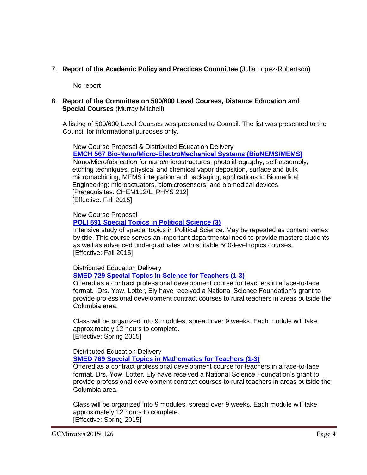7. **Report of the Academic Policy and Practices Committee** (Julia Lopez-Robertson)

No report

# 8. **Report of the Committee on 500/600 Level Courses, Distance Education and Special Courses** (Murray Mitchell)

A listing of 500/600 Level Courses was presented to Council. The list was presented to the Council for informational purposes only.

New Course Proposal & Distributed Education Delivery **[EMCH 567 Bio-Nano/Micro-ElectroMechanical Systems \(BioNEMS/MEMS\)](http://gradschool.sc.edu/facstaff/gradcouncil/2014/EMCH%20567%20DED-NCP%20BioNano_Redacted3.pdf)** Nano/Microfabrication for nano/microstructures, photolithography, self-assembly, etching techniques, physical and chemical vapor deposition, surface and bulk micromachining, MEMS integration and packaging; applications in Biomedical Engineering: microactuators, biomicrosensors, and biomedical devices. [Prerequisites: CHEM112/L, PHYS 212] [Effective: Fall 2015]

#### New Course Proposal

# **[POLI 591 Special Topics in Political Science \(3\)](http://gradschool.sc.edu/facstaff/gradcouncil/2014/POLI%20591%20NCP_Redacted.pdf)**

Intensive study of special topics in Political Science. May be repeated as content varies by title. This course serves an important departmental need to provide masters students as well as advanced undergraduates with suitable 500-level topics courses. [Effective: Fall 2015]

#### Distributed Education Delivery

# **[SMED 729 Special Topics in Science for Teachers \(1-3\)](http://gradschool.sc.edu/facstaff/gradcouncil/2014/SMED%20729%20DED.pdf)**

Offered as a contract professional development course for teachers in a face-to-face format. Drs. Yow, Lotter, Ely have received a National Science Foundation's grant to provide professional development contract courses to rural teachers in areas outside the Columbia area.

Class will be organized into 9 modules, spread over 9 weeks. Each module will take approximately 12 hours to complete. [Effective: Spring 2015]

# Distributed Education Delivery **[SMED 769 Special Topics in Mathematics for Teachers \(1-3\)](http://gradschool.sc.edu/facstaff/gradcouncil/2014/SMED%20769%20DED.pdf)**

Offered as a contract professional development course for teachers in a face-to-face format. Drs. Yow, Lotter, Ely have received a National Science Foundation's grant to provide professional development contract courses to rural teachers in areas outside the Columbia area.

Class will be organized into 9 modules, spread over 9 weeks. Each module will take approximately 12 hours to complete. [Effective: Spring 2015]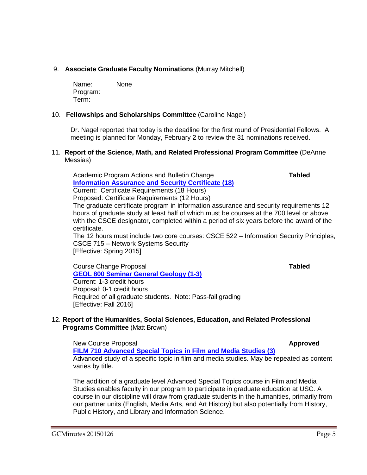# 9. **Associate Graduate Faculty Nominations** (Murray Mitchell)

Name: None Program: Term:

# 10. **Fellowships and Scholarships Committee** (Caroline Nagel)

Dr. Nagel reported that today is the deadline for the first round of Presidential Fellows. A meeting is planned for Monday, February 2 to review the 31 nominations received.

#### 11. **Report of the Science, Math, and Related Professional Program Committee** (DeAnne Messias)

Academic Program Actions and Bulletin Change **Tabled [Information Assurance and Security Certificate \(18\)](http://gradschool.sc.edu/facstaff/gradcouncil/2014/Computer%20Science%20Info%20Assurance%20APA_Redacted.pdf)** Current: Certificate Requirements (18 Hours) Proposed: Certificate Requirements (12 Hours) The graduate certificate program in information assurance and security requirements 12 hours of graduate study at least half of which must be courses at the 700 level or above with the CSCE designator, completed within a period of six years before the award of the certificate. The 12 hours must include two core courses: CSCE 522 – Information Security Principles,

CSCE 715 – Network Systems Security [Effective: Spring 2015]

Course Change Proposal **Tabled [GEOL 800 Seminar General Geology \(1-3\)](http://gradschool.sc.edu/facstaff/gradcouncil/2014/GEOL%20800%20Redacted.pdf)**

Current: 1-3 credit hours Proposal: 0-1 credit hours Required of all graduate students. Note: Pass-fail grading [Effective: Fall 2016]

# 12. **Report of the Humanities, Social Sciences, Education, and Related Professional Programs Committee** (Matt Brown)

New Course Proposal **Approved**

**[FILM 710 Advanced Special Topics in Film and Media Studies \(3\)](http://gradschool.sc.edu/facstaff/gradcouncil/2014/FILM%20710%20NCP_Redacted.pdf)** Advanced study of a specific topic in film and media studies. May be repeated as content varies by title.

The addition of a graduate level Advanced Special Topics course in Film and Media Studies enables faculty in our program to participate in graduate education at USC. A course in our discipline will draw from graduate students in the humanities, primarily from our partner units (English, Media Arts, and Art History) but also potentially from History, Public History, and Library and Information Science.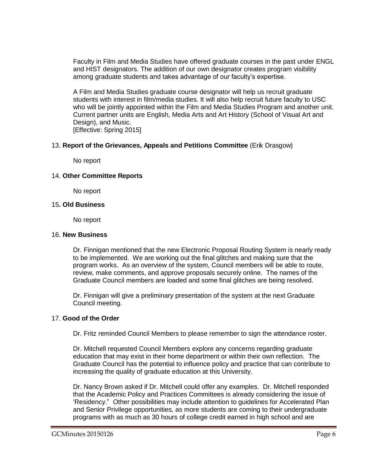Faculty in Film and Media Studies have offered graduate courses in the past under ENGL and HIST designators. The addition of our own designator creates program visibility among graduate students and takes advantage of our faculty's expertise.

A Film and Media Studies graduate course designator will help us recruit graduate students with interest in film/media studies. It will also help recruit future faculty to USC who will be jointly appointed within the Film and Media Studies Program and another unit. Current partner units are English, Media Arts and Art History (School of Visual Art and Design), and Music. [Effective: Spring 2015]

# 13. **Report of the Grievances, Appeals and Petitions Committee** (Erik Drasgow)

No report

# 14. **Other Committee Reports**

No report

#### 15**. Old Business**

No report

## 16. **New Business**

Dr. Finnigan mentioned that the new Electronic Proposal Routing System is nearly ready to be implemented. We are working out the final glitches and making sure that the program works. As an overview of the system, Council members will be able to route, review, make comments, and approve proposals securely online. The names of the Graduate Council members are loaded and some final glitches are being resolved.

Dr. Finnigan will give a preliminary presentation of the system at the next Graduate Council meeting.

# 17. **Good of the Order**

Dr. Fritz reminded Council Members to please remember to sign the attendance roster.

Dr. Mitchell requested Council Members explore any concerns regarding graduate education that may exist in their home department or within their own reflection. The Graduate Council has the potential to influence policy and practice that can contribute to increasing the quality of graduate education at this University.

Dr. Nancy Brown asked if Dr. Mitchell could offer any examples. Dr. Mitchell responded that the Academic Policy and Practices Committees is already considering the issue of 'Residency." Other possibilities may include attention to guidelines for Accelerated Plan and Senior Privilege opportunities, as more students are coming to their undergraduate programs with as much as 30 hours of college credit earned in high school and are